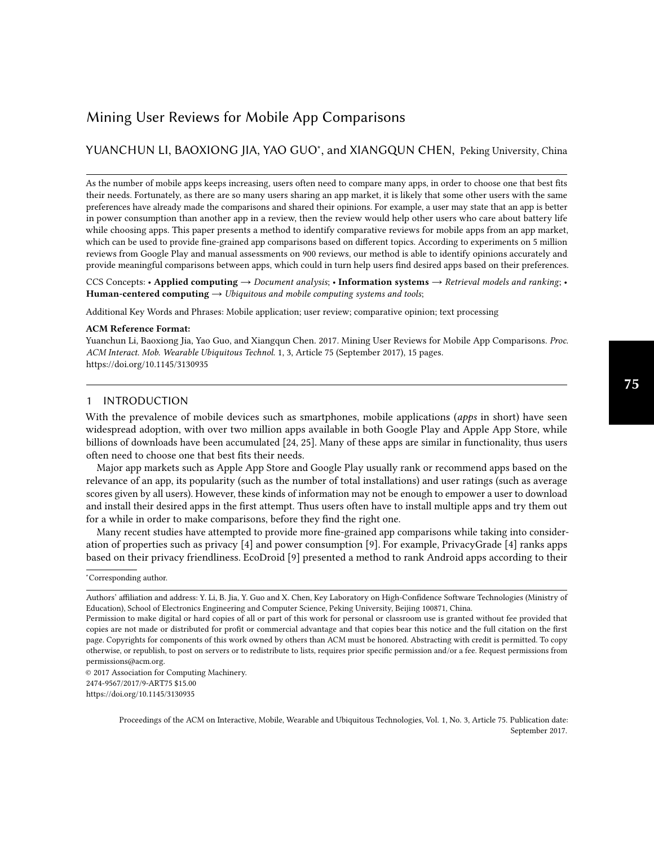# Mining User Reviews for Mobile App Comparisons

YUANCHUN LI, BAOXIONG JIA, YAO GUO<sup>\*</sup>, and XIANGQUN CHEN, Peking University, China

As the number of mobile apps keeps increasing, users often need to compare many apps, in order to choose one that best fits their needs. Fortunately, as there are so many users sharing an app market, it is likely that some other users with the same preferences have already made the comparisons and shared their opinions. For example, a user may state that an app is better in power consumption than another app in a review, then the review would help other users who care about battery life while choosing apps. This paper presents a method to identify comparative reviews for mobile apps from an app market, which can be used to provide fine-grained app comparisons based on different topics. According to experiments on 5 million reviews from Google Play and manual assessments on 900 reviews, our method is able to identify opinions accurately and provide meaningful comparisons between apps, which could in turn help users find desired apps based on their preferences.

CCS Concepts: • Applied computing  $\rightarrow$  Document analysis; • Information systems  $\rightarrow$  Retrieval models and ranking; • Human-centered computing  $\rightarrow$  Ubiquitous and mobile computing systems and tools;

Additional Key Words and Phrases: Mobile application; user review; comparative opinion; text processing

#### ACM Reference Format:

Yuanchun Li, Baoxiong Jia, Yao Guo, and Xiangqun Chen. 2017. Mining User Reviews for Mobile App Comparisons. Proc. ACM Interact. Mob. Wearable Ubiquitous Technol. 1, 3, Article 75 (September 2017), [15](#page-14-0) pages. <https://doi.org/10.1145/3130935>

### 1 INTRODUCTION

With the prevalence of mobile devices such as smartphones, mobile applications (apps in short) have seen widespread adoption, with over two million apps available in both Google Play and Apple App Store, while billions of downloads have been accumulated [\[24,](#page-14-1) [25\]](#page-14-2). Many of these apps are similar in functionality, thus users often need to choose one that best fits their needs.

Major app markets such as Apple App Store and Google Play usually rank or recommend apps based on the relevance of an app, its popularity (such as the number of total installations) and user ratings (such as average scores given by all users). However, these kinds of information may not be enough to empower a user to download and install their desired apps in the first attempt. Thus users often have to install multiple apps and try them out for a while in order to make comparisons, before they find the right one.

Many recent studies have attempted to provide more fine-grained app comparisons while taking into consideration of properties such as privacy [\[4\]](#page-13-0) and power consumption [\[9\]](#page-14-3). For example, PrivacyGrade [\[4\]](#page-13-0) ranks apps based on their privacy friendliness. EcoDroid [\[9\]](#page-14-3) presented a method to rank Android apps according to their

© 2017 Association for Computing Machinery. 2474-9567/2017/9-ART75 \$15.00 <https://doi.org/10.1145/3130935>

<sup>∗</sup>Corresponding author.

Authors' affiliation and address: Y. Li, B. Jia, Y. Guo and X. Chen, Key Laboratory on High-Confidence Software Technologies (Ministry of Education), School of Electronics Engineering and Computer Science, Peking University, Beijing 100871, China.

Permission to make digital or hard copies of all or part of this work for personal or classroom use is granted without fee provided that copies are not made or distributed for profit or commercial advantage and that copies bear this notice and the full citation on the first page. Copyrights for components of this work owned by others than ACM must be honored. Abstracting with credit is permitted. To copy otherwise, or republish, to post on servers or to redistribute to lists, requires prior specific permission and/or a fee. Request permissions from permissions@acm.org.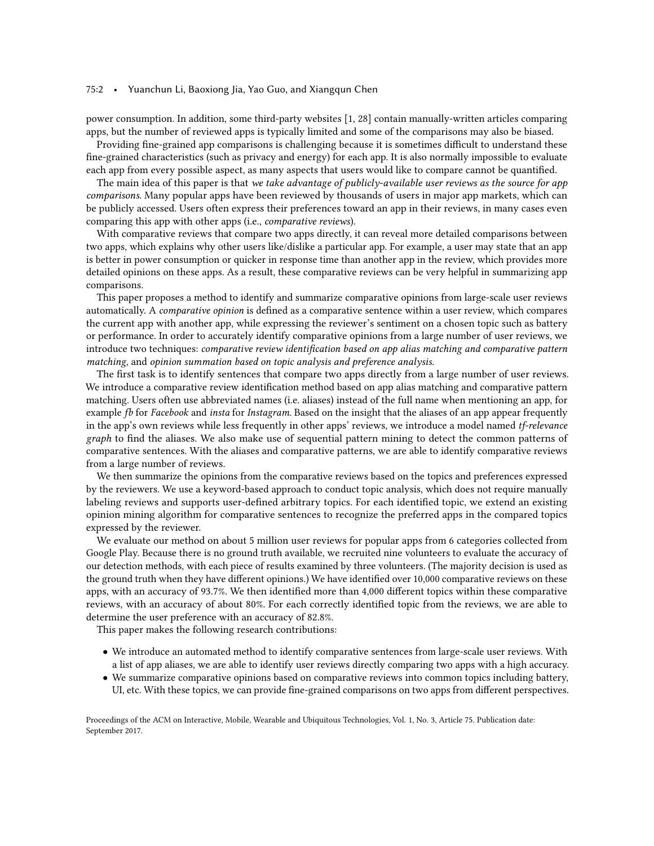#### 75:2 • Yuanchun Li, Baoxiong Jia, Yao Guo, and Xiangqun Chen

power consumption. In addition, some third-party websites [\[1,](#page-13-1) [28\]](#page-14-4) contain manually-written articles comparing apps, but the number of reviewed apps is typically limited and some of the comparisons may also be biased.

Providing fine-grained app comparisons is challenging because it is sometimes difficult to understand these fine-grained characteristics (such as privacy and energy) for each app. It is also normally impossible to evaluate each app from every possible aspect, as many aspects that users would like to compare cannot be quantified.

The main idea of this paper is that we take advantage of publicly-available user reviews as the source for app comparisons. Many popular apps have been reviewed by thousands of users in major app markets, which can be publicly accessed. Users often express their preferences toward an app in their reviews, in many cases even comparing this app with other apps (i.e., comparative reviews).

With comparative reviews that compare two apps directly, it can reveal more detailed comparisons between two apps, which explains why other users like/dislike a particular app. For example, a user may state that an app is better in power consumption or quicker in response time than another app in the review, which provides more detailed opinions on these apps. As a result, these comparative reviews can be very helpful in summarizing app comparisons.

This paper proposes a method to identify and summarize comparative opinions from large-scale user reviews automatically. A comparative opinion is defined as a comparative sentence within a user review, which compares the current app with another app, while expressing the reviewer's sentiment on a chosen topic such as battery or performance. In order to accurately identify comparative opinions from a large number of user reviews, we introduce two techniques: comparative review identification based on app alias matching and comparative pattern matching, and opinion summation based on topic analysis and preference analysis.

The first task is to identify sentences that compare two apps directly from a large number of user reviews. We introduce a comparative review identification method based on app alias matching and comparative pattern matching. Users often use abbreviated names (i.e. aliases) instead of the full name when mentioning an app, for example fb for Facebook and insta for Instagram. Based on the insight that the aliases of an app appear frequently in the app's own reviews while less frequently in other apps' reviews, we introduce a model named tf-relevance graph to find the aliases. We also make use of sequential pattern mining to detect the common patterns of comparative sentences. With the aliases and comparative patterns, we are able to identify comparative reviews from a large number of reviews.

We then summarize the opinions from the comparative reviews based on the topics and preferences expressed by the reviewers. We use a keyword-based approach to conduct topic analysis, which does not require manually labeling reviews and supports user-defined arbitrary topics. For each identified topic, we extend an existing opinion mining algorithm for comparative sentences to recognize the preferred apps in the compared topics expressed by the reviewer.

We evaluate our method on about 5 million user reviews for popular apps from 6 categories collected from Google Play. Because there is no ground truth available, we recruited nine volunteers to evaluate the accuracy of our detection methods, with each piece of results examined by three volunteers. (The majority decision is used as the ground truth when they have different opinions.) We have identified over 10,000 comparative reviews on these apps, with an accuracy of 93.7%. We then identified more than 4,000 different topics within these comparative reviews, with an accuracy of about 80%. For each correctly identified topic from the reviews, we are able to determine the user preference with an accuracy of 82.8%.

This paper makes the following research contributions:

- We introduce an automated method to identify comparative sentences from large-scale user reviews. With a list of app aliases, we are able to identify user reviews directly comparing two apps with a high accuracy.
- We summarize comparative opinions based on comparative reviews into common topics including battery, UI, etc. With these topics, we can provide fine-grained comparisons on two apps from different perspectives.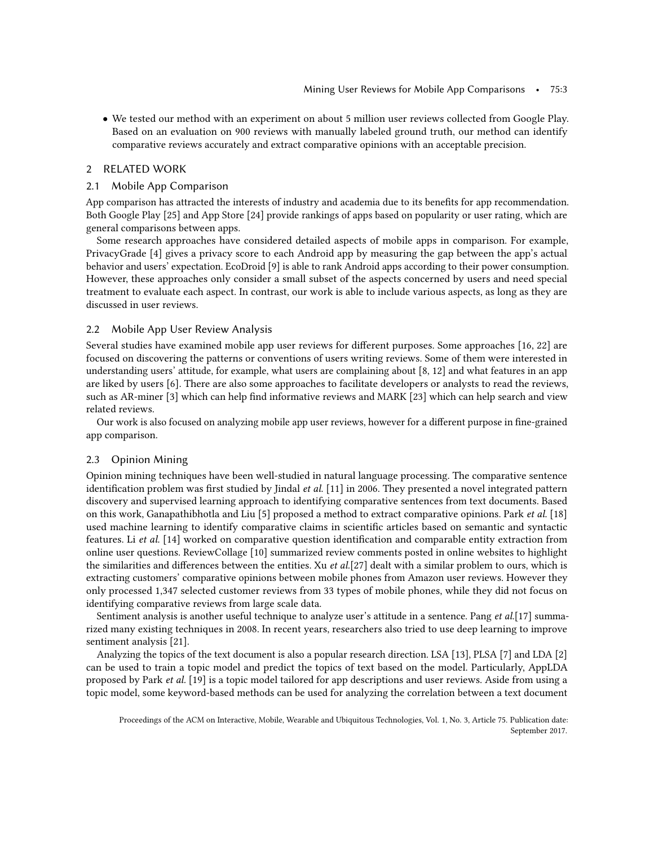• We tested our method with an experiment on about 5 million user reviews collected from Google Play. Based on an evaluation on 900 reviews with manually labeled ground truth, our method can identify comparative reviews accurately and extract comparative opinions with an acceptable precision.

### 2 RELATED WORK

# 2.1 Mobile App Comparison

App comparison has attracted the interests of industry and academia due to its benefits for app recommendation. Both Google Play [\[25\]](#page-14-2) and App Store [\[24\]](#page-14-1) provide rankings of apps based on popularity or user rating, which are general comparisons between apps.

Some research approaches have considered detailed aspects of mobile apps in comparison. For example, PrivacyGrade [\[4\]](#page-13-0) gives a privacy score to each Android app by measuring the gap between the app's actual behavior and users' expectation. EcoDroid [\[9\]](#page-14-3) is able to rank Android apps according to their power consumption. However, these approaches only consider a small subset of the aspects concerned by users and need special treatment to evaluate each aspect. In contrast, our work is able to include various aspects, as long as they are discussed in user reviews.

### 2.2 Mobile App User Review Analysis

Several studies have examined mobile app user reviews for different purposes. Some approaches [\[16,](#page-14-5) [22\]](#page-14-6) are focused on discovering the patterns or conventions of users writing reviews. Some of them were interested in understanding users' attitude, for example, what users are complaining about [\[8,](#page-14-7) [12\]](#page-14-8) and what features in an app are liked by users [\[6\]](#page-14-9). There are also some approaches to facilitate developers or analysts to read the reviews, such as AR-miner [\[3\]](#page-13-2) which can help find informative reviews and MARK [\[23\]](#page-14-10) which can help search and view related reviews.

Our work is also focused on analyzing mobile app user reviews, however for a different purpose in fine-grained app comparison.

### 2.3 Opinion Mining

Opinion mining techniques have been well-studied in natural language processing. The comparative sentence identification problem was first studied by Jindal et al. [\[11\]](#page-14-11) in 2006. They presented a novel integrated pattern discovery and supervised learning approach to identifying comparative sentences from text documents. Based on this work, Ganapathibhotla and Liu [\[5\]](#page-13-3) proposed a method to extract comparative opinions. Park et al. [\[18\]](#page-14-12) used machine learning to identify comparative claims in scientific articles based on semantic and syntactic features. Li et al. [\[14\]](#page-14-13) worked on comparative question identification and comparable entity extraction from online user questions. ReviewCollage [\[10\]](#page-14-14) summarized review comments posted in online websites to highlight the similarities and differences between the entities. Xu et al.[\[27\]](#page-14-15) dealt with a similar problem to ours, which is extracting customers' comparative opinions between mobile phones from Amazon user reviews. However they only processed 1,347 selected customer reviews from 33 types of mobile phones, while they did not focus on identifying comparative reviews from large scale data.

Sentiment analysis is another useful technique to analyze user's attitude in a sentence. Pang et al.[\[17\]](#page-14-16) summarized many existing techniques in 2008. In recent years, researchers also tried to use deep learning to improve sentiment analysis [\[21\]](#page-14-17).

Analyzing the topics of the text document is also a popular research direction. LSA [\[13\]](#page-14-18), PLSA [\[7\]](#page-14-19) and LDA [\[2\]](#page-13-4) can be used to train a topic model and predict the topics of text based on the model. Particularly, AppLDA proposed by Park et al. [\[19\]](#page-14-20) is a topic model tailored for app descriptions and user reviews. Aside from using a topic model, some keyword-based methods can be used for analyzing the correlation between a text document

Proceedings of the ACM on Interactive, Mobile, Wearable and Ubiquitous Technologies, Vol. 1, No. 3, Article 75. Publication date: September 2017.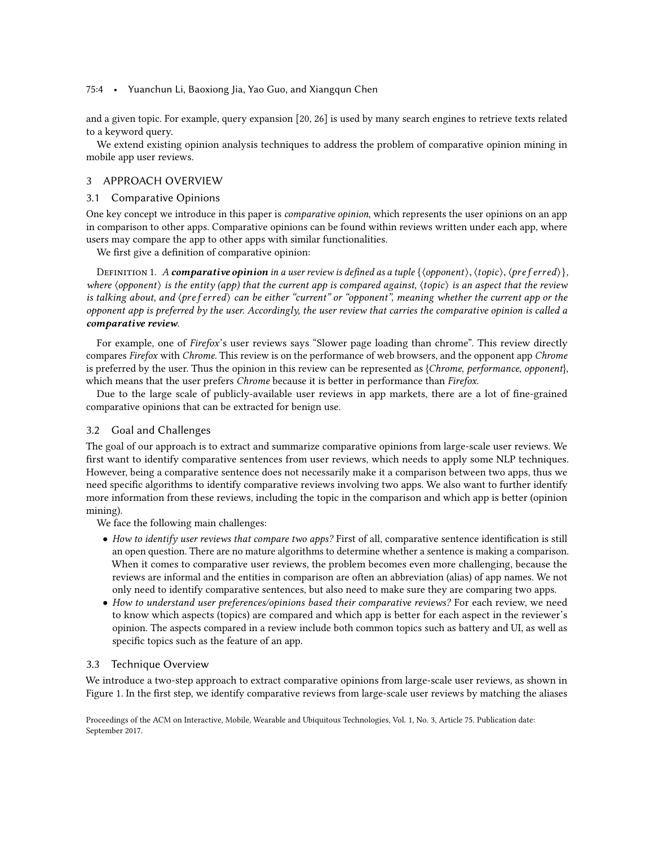### 75:4 • Yuanchun Li, Baoxiong Jia, Yao Guo, and Xiangqun Chen

and a given topic. For example, query expansion [\[20,](#page-14-21) [26\]](#page-14-22) is used by many search engines to retrieve texts related to a keyword query.

We extend existing opinion analysis techniques to address the problem of comparative opinion mining in mobile app user reviews.

### 3 APPROACH OVERVIEW

### 3.1 Comparative Opinions

One key concept we introduce in this paper is comparative opinion, which represents the user opinions on an app in comparison to other apps. Comparative opinions can be found within reviews written under each app, where users may compare the app to other apps with similar functionalities.

We first give a definition of comparative opinion:

DEFINITION 1. A **comparative opinion** in a user review is defined as a tuple  $\{\langle opponent\rangle, \langle topic\rangle, \langle prefered\rangle\},\$ where  $\langle$ opponent $\rangle$  is the entity (app) that the current app is compared against,  $\langle$ topic $\rangle$  is an aspect that the review is talking about, and ⟨pre f erred⟩ can be either "current" or "opponent", meaning whether the current app or the opponent app is preferred by the user. Accordingly, the user review that carries the comparative opinion is called a comparative review.

For example, one of Firefox's user reviews says "Slower page loading than chrome". This review directly compares Firefox with Chrome. This review is on the performance of web browsers, and the opponent app Chrome is preferred by the user. Thus the opinion in this review can be represented as {Chrome, performance, opponent}, which means that the user prefers Chrome because it is better in performance than Firefox.

Due to the large scale of publicly-available user reviews in app markets, there are a lot of fine-grained comparative opinions that can be extracted for benign use.

### 3.2 Goal and Challenges

The goal of our approach is to extract and summarize comparative opinions from large-scale user reviews. We first want to identify comparative sentences from user reviews, which needs to apply some NLP techniques. However, being a comparative sentence does not necessarily make it a comparison between two apps, thus we need specific algorithms to identify comparative reviews involving two apps. We also want to further identify more information from these reviews, including the topic in the comparison and which app is better (opinion mining).

We face the following main challenges:

- How to identify user reviews that compare two apps? First of all, comparative sentence identification is still an open question. There are no mature algorithms to determine whether a sentence is making a comparison. When it comes to comparative user reviews, the problem becomes even more challenging, because the reviews are informal and the entities in comparison are often an abbreviation (alias) of app names. We not only need to identify comparative sentences, but also need to make sure they are comparing two apps.
- How to understand user preferences/opinions based their comparative reviews? For each review, we need to know which aspects (topics) are compared and which app is better for each aspect in the reviewer's opinion. The aspects compared in a review include both common topics such as battery and UI, as well as specific topics such as the feature of an app.

### 3.3 Technique Overview

We introduce a two-step approach to extract comparative opinions from large-scale user reviews, as shown in Figure [1.](#page-4-0) In the first step, we identify comparative reviews from large-scale user reviews by matching the aliases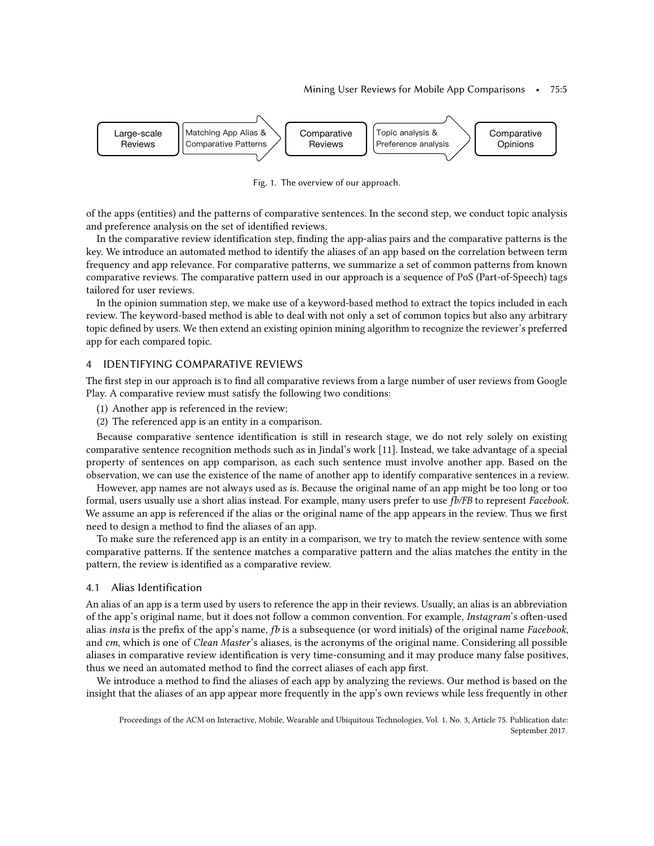<span id="page-4-0"></span>

Fig. 1. The overview of our approach.

of the apps (entities) and the patterns of comparative sentences. In the second step, we conduct topic analysis and preference analysis on the set of identified reviews.

In the comparative review identification step, finding the app-alias pairs and the comparative patterns is the key. We introduce an automated method to identify the aliases of an app based on the correlation between term frequency and app relevance. For comparative patterns, we summarize a set of common patterns from known comparative reviews. The comparative pattern used in our approach is a sequence of PoS (Part-of-Speech) tags tailored for user reviews.

In the opinion summation step, we make use of a keyword-based method to extract the topics included in each review. The keyword-based method is able to deal with not only a set of common topics but also any arbitrary topic defined by users. We then extend an existing opinion mining algorithm to recognize the reviewer's preferred app for each compared topic.

## 4 IDENTIFYING COMPARATIVE REVIEWS

The first step in our approach is to find all comparative reviews from a large number of user reviews from Google Play. A comparative review must satisfy the following two conditions:

- (1) Another app is referenced in the review;
- (2) The referenced app is an entity in a comparison.

Because comparative sentence identification is still in research stage, we do not rely solely on existing comparative sentence recognition methods such as in Jindal's work [\[11\]](#page-14-11). Instead, we take advantage of a special property of sentences on app comparison, as each such sentence must involve another app. Based on the observation, we can use the existence of the name of another app to identify comparative sentences in a review.

However, app names are not always used as is. Because the original name of an app might be too long or too formal, users usually use a short alias instead. For example, many users prefer to use  $fb/FB$  to represent Facebook. We assume an app is referenced if the alias or the original name of the app appears in the review. Thus we first need to design a method to find the aliases of an app.

To make sure the referenced app is an entity in a comparison, we try to match the review sentence with some comparative patterns. If the sentence matches a comparative pattern and the alias matches the entity in the pattern, the review is identified as a comparative review.

#### 4.1 Alias Identification

An alias of an app is a term used by users to reference the app in their reviews. Usually, an alias is an abbreviation of the app's original name, but it does not follow a common convention. For example, Instagram's often-used alias *insta* is the prefix of the app's name,  $fb$  is a subsequence (or word initials) of the original name *Facebook*, and cm, which is one of Clean Master's aliases, is the acronyms of the original name. Considering all possible aliases in comparative review identification is very time-consuming and it may produce many false positives, thus we need an automated method to find the correct aliases of each app first.

We introduce a method to find the aliases of each app by analyzing the reviews. Our method is based on the insight that the aliases of an app appear more frequently in the app's own reviews while less frequently in other

Proceedings of the ACM on Interactive, Mobile, Wearable and Ubiquitous Technologies, Vol. 1, No. 3, Article 75. Publication date: September 2017.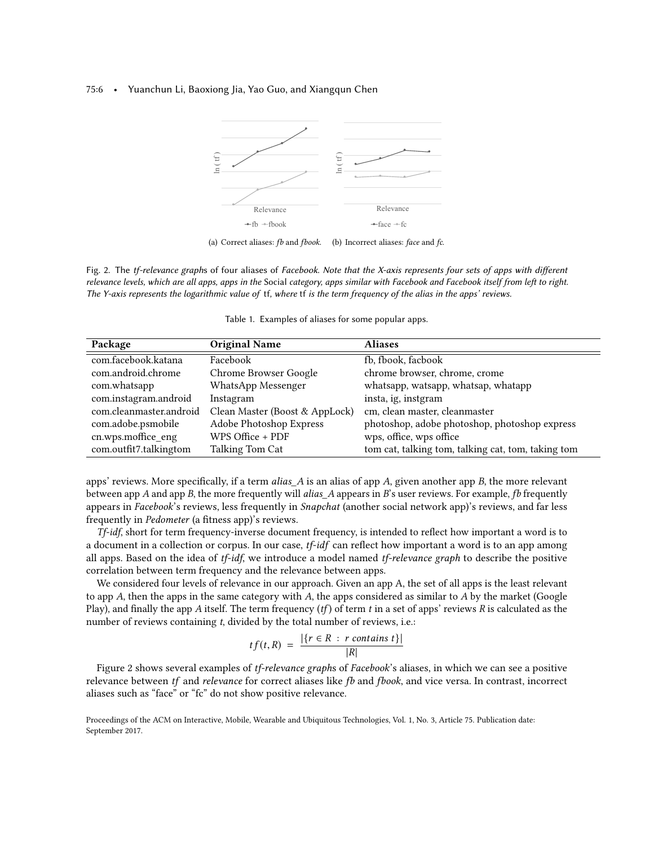### <span id="page-5-0"></span>75:6 • Yuanchun Li, Baoxiong Jia, Yao Guo, and Xiangqun Chen



(a) Correct aliases: fb and fbook. (b) Incorrect aliases: face and fc.

Fig. 2. The tf-relevance graphs of four aliases of Facebook. Note that the X-axis represents four sets of apps with different relevance levels, which are all apps, apps in the Social category, apps similar with Facebook and Facebook itself from left to right. The Y-axis represents the logarithmic value of tf, where tf is the term frequency of the alias in the apps' reviews.

Table 1. Examples of aliases for some popular apps.

<span id="page-5-1"></span>

| Package                 | <b>Original Name</b>           | <b>Aliases</b>                                     |
|-------------------------|--------------------------------|----------------------------------------------------|
| com.facebook.katana     | Facebook                       | fb, fbook, facbook                                 |
| com.android.chrome      | Chrome Browser Google          | chrome browser, chrome, crome                      |
| com.whatsapp            | WhatsApp Messenger             | whatsapp, watsapp, whatsap, whatapp                |
| com.instagram.android   | Instagram                      | insta, ig, instgram                                |
| com.cleanmaster.android | Clean Master (Boost & AppLock) | cm, clean master, cleanmaster                      |
| com.adobe.psmobile      | Adobe Photoshop Express        | photoshop, adobe photoshop, photoshop express      |
| cn.wps.moffice eng      | WPS Office + PDF               | wps, office, wps office                            |
| com.outfit7.talkingtom  | Talking Tom Cat                | tom cat, talking tom, talking cat, tom, taking tom |

apps' reviews. More specifically, if a term  $alias_A$  is an alias of app A, given another app B, the more relevant between app A and app B, the more frequently will alias\_A appears in B's user reviews. For example, fb frequently appears in Facebook's reviews, less frequently in Snapchat (another social network app)'s reviews, and far less frequently in Pedometer (a fitness app)'s reviews.

Tf-idf, short for term frequency-inverse document frequency, is intended to reflect how important a word is to a document in a collection or corpus. In our case, tf-idf can reflect how important a word is to an app among all apps. Based on the idea of  $tf$ -idf, we introduce a model named  $tf$ -relevance graph to describe the positive correlation between term frequency and the relevance between apps.

We considered four levels of relevance in our approach. Given an app A, the set of all apps is the least relevant to app  $A$ , then the apps in the same category with  $A$ , the apps considered as similar to  $A$  by the market (Google Play), and finally the app A itself. The term frequency  $(tf)$  of term t in a set of apps' reviews R is calculated as the number of reviews containing t, divided by the total number of reviews, i.e.:

$$
tf(t,R) = \frac{|\{r \in R : r \text{ contains } t\}|}{|R|}
$$

Figure [2](#page-5-0) shows several examples of *tf-relevance graphs* of *Facebook*'s aliases, in which we can see a positive relevance between  $tf$  and relevance for correct aliases like  $fb$  and  $fbook$ , and vice versa. In contrast, incorrect aliases such as "face" or "fc" do not show positive relevance.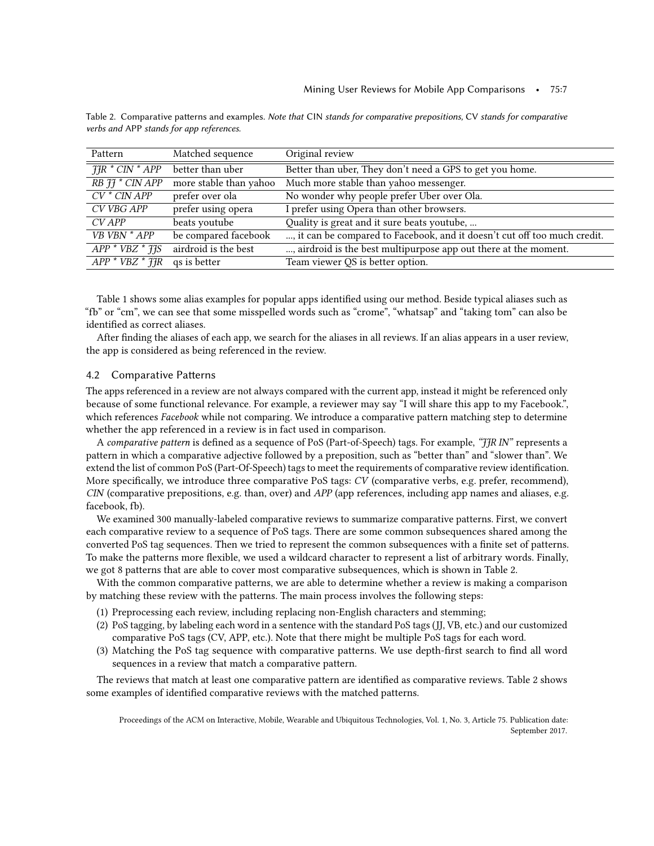| Pattern                      | Matched sequence                         | Original review                                                           |
|------------------------------|------------------------------------------|---------------------------------------------------------------------------|
| $\overline{fIR} * CIN * APP$ | better than uber                         | Better than uber, They don't need a GPS to get you home.                  |
| RB JJ * CIN APP              | more stable than yahoo                   | Much more stable than yahoo messenger.                                    |
| $CV * CIN APP$               | prefer over ola                          | No wonder why people prefer Uber over Ola.                                |
| CV VBG APP                   | prefer using opera                       | I prefer using Opera than other browsers.                                 |
| CV APP                       | beats youtube                            | Quality is great and it sure beats youtube,                               |
| VB VBN * APP                 | be compared facebook                     | , it can be compared to Facebook, and it doesn't cut off too much credit. |
| $APP * VBZ * ffS$            | $\overline{\text{airdroid}}$ is the best | , airdroid is the best multipurpose app out there at the moment.          |
| $APP * VBZ * fIR$            | qs is better                             | Team viewer QS is better option.                                          |

<span id="page-6-0"></span>Table 2. Comparative patterns and examples. Note that CIN stands for comparative prepositions, CV stands for comparative verbs and APP stands for app references.

Table [1](#page-5-1) shows some alias examples for popular apps identified using our method. Beside typical aliases such as "fb" or "cm", we can see that some misspelled words such as "crome", "whatsap" and "taking tom" can also be identified as correct aliases.

After finding the aliases of each app, we search for the aliases in all reviews. If an alias appears in a user review, the app is considered as being referenced in the review.

# 4.2 Comparative Patterns

The apps referenced in a review are not always compared with the current app, instead it might be referenced only because of some functional relevance. For example, a reviewer may say "I will share this app to my Facebook.", which references Facebook while not comparing. We introduce a comparative pattern matching step to determine whether the app referenced in a review is in fact used in comparison.

A comparative pattern is defined as a sequence of PoS (Part-of-Speech) tags. For example, "HR IN" represents a pattern in which a comparative adjective followed by a preposition, such as "better than" and "slower than". We extend the list of common PoS (Part-Of-Speech) tags to meet the requirements of comparative review identification. More specifically, we introduce three comparative PoS tags: CV (comparative verbs, e.g. prefer, recommend), CIN (comparative prepositions, e.g. than, over) and APP (app references, including app names and aliases, e.g. facebook, fb).

We examined 300 manually-labeled comparative reviews to summarize comparative patterns. First, we convert each comparative review to a sequence of PoS tags. There are some common subsequences shared among the converted PoS tag sequences. Then we tried to represent the common subsequences with a finite set of patterns. To make the patterns more flexible, we used a wildcard character to represent a list of arbitrary words. Finally, we got 8 patterns that are able to cover most comparative subsequences, which is shown in Table [2.](#page-6-0)

With the common comparative patterns, we are able to determine whether a review is making a comparison by matching these review with the patterns. The main process involves the following steps:

- (1) Preprocessing each review, including replacing non-English characters and stemming;
- (2) PoS tagging, by labeling each word in a sentence with the standard PoS tags (JJ, VB, etc.) and our customized comparative PoS tags (CV, APP, etc.). Note that there might be multiple PoS tags for each word.
- (3) Matching the PoS tag sequence with comparative patterns. We use depth-first search to find all word sequences in a review that match a comparative pattern.

The reviews that match at least one comparative pattern are identified as comparative reviews. Table [2](#page-6-0) shows some examples of identified comparative reviews with the matched patterns.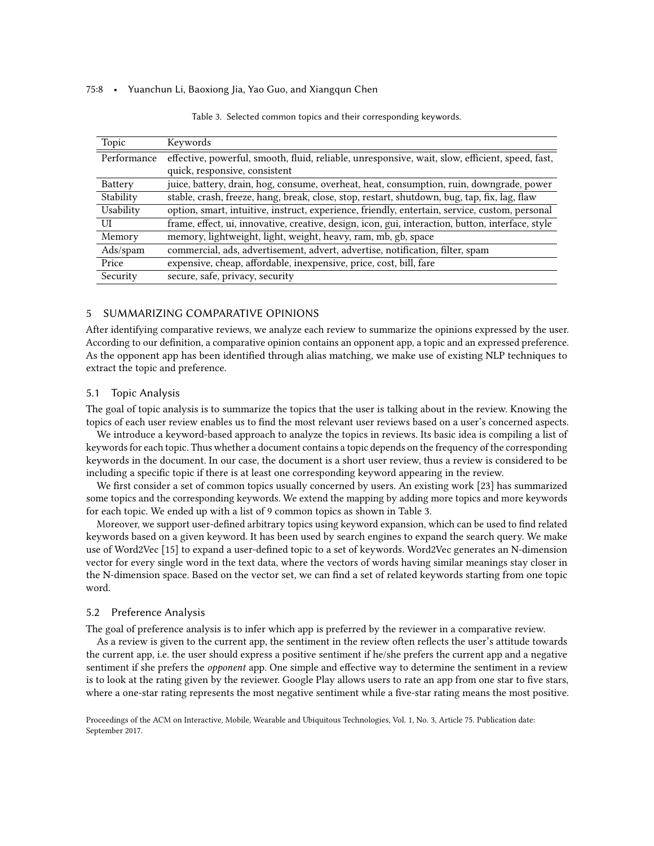#### <span id="page-7-0"></span>75:8 • Yuanchun Li, Baoxiong Jia, Yao Guo, and Xiangqun Chen

| Topic       | Keywords                                                                                          |
|-------------|---------------------------------------------------------------------------------------------------|
| Performance | effective, powerful, smooth, fluid, reliable, unresponsive, wait, slow, efficient, speed, fast,   |
|             | quick, responsive, consistent                                                                     |
| Battery     | juice, battery, drain, hog, consume, overheat, heat, consumption, ruin, downgrade, power          |
| Stability   | stable, crash, freeze, hang, break, close, stop, restart, shutdown, bug, tap, fix, lag, flaw      |
| Usability   | option, smart, intuitive, instruct, experience, friendly, entertain, service, custom, personal    |
| UП          | frame, effect, ui, innovative, creative, design, icon, gui, interaction, button, interface, style |
| Memory      | memory, lightweight, light, weight, heavy, ram, mb, gb, space                                     |
| $Ads$ /spam | commercial, ads, advertisement, advert, advertise, notification, filter, spam                     |
| Price       | expensive, cheap, affordable, inexpensive, price, cost, bill, fare                                |
| Security    | secure, safe, privacy, security                                                                   |

Table 3. Selected common topics and their corresponding keywords.

## 5 SUMMARIZING COMPARATIVE OPINIONS

After identifying comparative reviews, we analyze each review to summarize the opinions expressed by the user. According to our definition, a comparative opinion contains an opponent app, a topic and an expressed preference. As the opponent app has been identified through alias matching, we make use of existing NLP techniques to extract the topic and preference.

## 5.1 Topic Analysis

The goal of topic analysis is to summarize the topics that the user is talking about in the review. Knowing the topics of each user review enables us to find the most relevant user reviews based on a user's concerned aspects.

We introduce a keyword-based approach to analyze the topics in reviews. Its basic idea is compiling a list of keywords for each topic. Thus whether a document contains a topic depends on the frequency of the corresponding keywords in the document. In our case, the document is a short user review, thus a review is considered to be including a specific topic if there is at least one corresponding keyword appearing in the review.

We first consider a set of common topics usually concerned by users. An existing work [\[23\]](#page-14-10) has summarized some topics and the corresponding keywords. We extend the mapping by adding more topics and more keywords for each topic. We ended up with a list of 9 common topics as shown in Table [3.](#page-7-0)

Moreover, we support user-defined arbitrary topics using keyword expansion, which can be used to find related keywords based on a given keyword. It has been used by search engines to expand the search query. We make use of Word2Vec [\[15\]](#page-14-23) to expand a user-defined topic to a set of keywords. Word2Vec generates an N-dimension vector for every single word in the text data, where the vectors of words having similar meanings stay closer in the N-dimension space. Based on the vector set, we can find a set of related keywords starting from one topic word.

#### 5.2 Preference Analysis

The goal of preference analysis is to infer which app is preferred by the reviewer in a comparative review.

As a review is given to the current app, the sentiment in the review often reflects the user's attitude towards the current app, i.e. the user should express a positive sentiment if he/she prefers the current app and a negative sentiment if she prefers the *opponent* app. One simple and effective way to determine the sentiment in a review is to look at the rating given by the reviewer. Google Play allows users to rate an app from one star to five stars, where a one-star rating represents the most negative sentiment while a five-star rating means the most positive.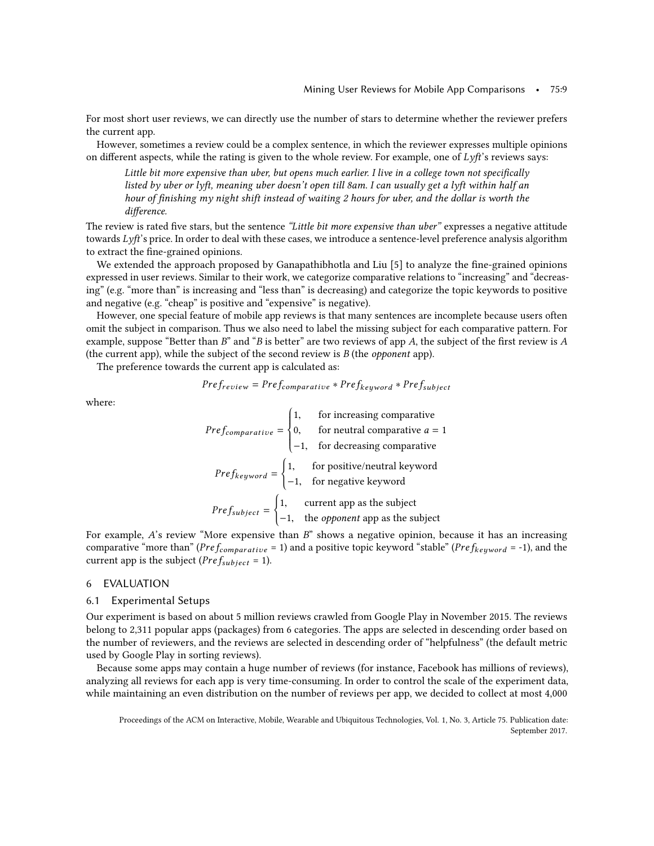For most short user reviews, we can directly use the number of stars to determine whether the reviewer prefers the current app.

However, sometimes a review could be a complex sentence, in which the reviewer expresses multiple opinions on different aspects, while the rating is given to the whole review. For example, one of  $Lyft's$  reviews says:

Little bit more expensive than uber, but opens much earlier. I live in a college town not specifically listed by uber or lyft, meaning uber doesn't open till 8am. I can usually get a lyft within half an hour of finishing my night shift instead of waiting 2 hours for uber, and the dollar is worth the difference.

The review is rated five stars, but the sentence "Little bit more expensive than uber" expresses a negative attitude towards  $Lyft's$  price. In order to deal with these cases, we introduce a sentence-level preference analysis algorithm to extract the fine-grained opinions.

We extended the approach proposed by Ganapathibhotla and Liu [\[5\]](#page-13-3) to analyze the fine-grained opinions expressed in user reviews. Similar to their work, we categorize comparative relations to "increasing" and "decreasing" (e.g. "more than" is increasing and "less than" is decreasing) and categorize the topic keywords to positive and negative (e.g. "cheap" is positive and "expensive" is negative).

However, one special feature of mobile app reviews is that many sentences are incomplete because users often omit the subject in comparison. Thus we also need to label the missing subject for each comparative pattern. For example, suppose "Better than B" and "B is better" are two reviews of app A, the subject of the first review is  $A$ (the current app), while the subject of the second review is  $B$  (the *opponent* app).

The preference towards the current app is calculated as:

$$
Pref_{review} = Pref_{comparative} * Pref_{keyword} * Pref_{subject}
$$

where:

*Pref<sub>comparative</sub>* = 
$$
\begin{cases} 1, & \text{for increasing comparative} \\ 0, & \text{for neutral comparative } a = 1 \\ -1, & \text{for decreasing comparative} \end{cases}
$$
  
*Pref<sub>keyword</sub>* = 
$$
\begin{cases} 1, & \text{for positive/neutral keyword} \\ -1, & \text{for negative keyword} \end{cases}
$$
  
*Pref<sub>subject</sub>* = 
$$
\begin{cases} 1, & \text{current app as the subject} \\ -1, & \text{the opponent app as the subject} \end{cases}
$$

For example,  $A$ 's review "More expensive than  $B$ " shows a negative opinion, because it has an increasing comparative "more than" (Pre f<sub>comparative</sub> = 1) and a positive topic keyword "stable" (Pre f<sub>keyword</sub> = -1), and the current app is the subject ( $Pre f_{subject} = 1$ ).

## 6 EVALUATION

### 6.1 Experimental Setups

Our experiment is based on about 5 million reviews crawled from Google Play in November 2015. The reviews belong to 2,311 popular apps (packages) from 6 categories. The apps are selected in descending order based on the number of reviewers, and the reviews are selected in descending order of "helpfulness" (the default metric used by Google Play in sorting reviews).

Because some apps may contain a huge number of reviews (for instance, Facebook has millions of reviews), analyzing all reviews for each app is very time-consuming. In order to control the scale of the experiment data, while maintaining an even distribution on the number of reviews per app, we decided to collect at most 4,000

Proceedings of the ACM on Interactive, Mobile, Wearable and Ubiquitous Technologies, Vol. 1, No. 3, Article 75. Publication date: September 2017.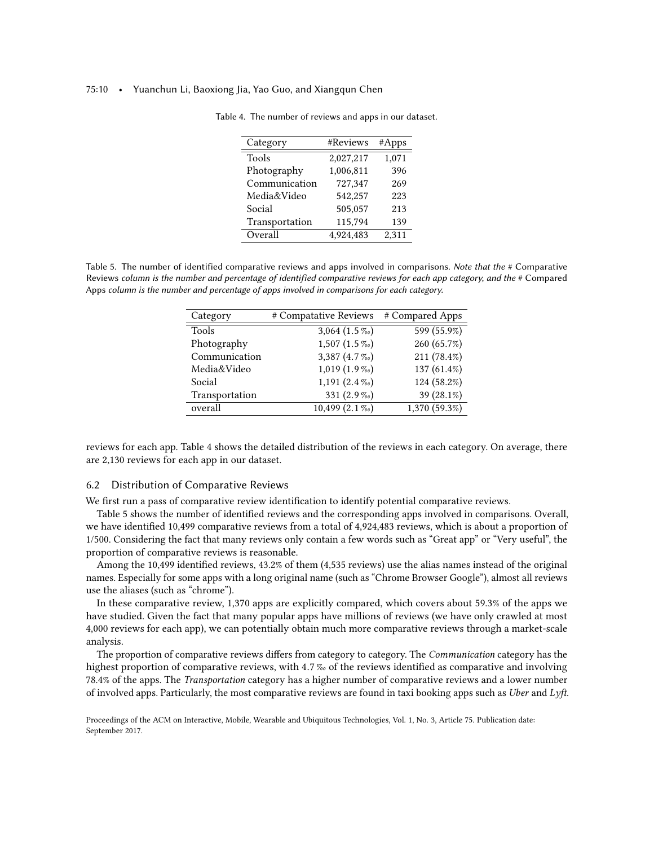### <span id="page-9-0"></span>75:10 • Yuanchun Li, Baoxiong Jia, Yao Guo, and Xiangqun Chen

| Category       | #Reviews  | #Apps |  |
|----------------|-----------|-------|--|
| Tools          | 2,027,217 | 1,071 |  |
| Photography    | 1,006,811 | 396   |  |
| Communication  | 727,347   | 269   |  |
| Media&Video    | 542,257   | 223   |  |
| Social         | 505,057   | 213   |  |
| Transportation | 115,794   | 139   |  |
| Overall        | 4,924,483 | 2,311 |  |

Table 4. The number of reviews and apps in our dataset.

<span id="page-9-1"></span>Table 5. The number of identified comparative reviews and apps involved in comparisons. Note that the # Comparative Reviews column is the number and percentage of identified comparative reviews for each app category, and the # Compared Apps column is the number and percentage of apps involved in comparisons for each category.

| Category       | # Compatative Reviews | # Compared Apps |
|----------------|-----------------------|-----------------|
| Tools          | 3,064 $(1.5\%)$       | 599 (55.9%)     |
| Photography    | $1,507(1.5\%)$        | 260 (65.7%)     |
| Communication  | 3,387 (4.7 %)         | 211 (78.4%)     |
| Media&Video    | $1,019(1.9\%)$        | 137 (61.4%)     |
| Social         | 1,191 $(2.4\%$        | 124 (58.2%)     |
| Transportation | 331 (2.9 ‰)           | 39 (28.1%)      |
| overall        | 10,499 (2.1 ‰)        | 1,370 (59.3%)   |
|                |                       |                 |

reviews for each app. Table [4](#page-9-0) shows the detailed distribution of the reviews in each category. On average, there are 2,130 reviews for each app in our dataset.

### 6.2 Distribution of Comparative Reviews

We first run a pass of comparative review identification to identify potential comparative reviews.

Table [5](#page-9-1) shows the number of identified reviews and the corresponding apps involved in comparisons. Overall, we have identified 10,499 comparative reviews from a total of 4,924,483 reviews, which is about a proportion of 1/500. Considering the fact that many reviews only contain a few words such as "Great app" or "Very useful", the proportion of comparative reviews is reasonable.

Among the 10,499 identified reviews, 43.2% of them (4,535 reviews) use the alias names instead of the original names. Especially for some apps with a long original name (such as "Chrome Browser Google"), almost all reviews use the aliases (such as "chrome").

In these comparative review, 1,370 apps are explicitly compared, which covers about 59.3% of the apps we have studied. Given the fact that many popular apps have millions of reviews (we have only crawled at most 4,000 reviews for each app), we can potentially obtain much more comparative reviews through a market-scale analysis.

The proportion of comparative reviews differs from category to category. The Communication category has the highest proportion of comparative reviews, with <sup>4</sup>.<sup>7</sup> % of the reviews identified as comparative and involving 78.4% of the apps. The Transportation category has a higher number of comparative reviews and a lower number of involved apps. Particularly, the most comparative reviews are found in taxi booking apps such as Uber and Lyft.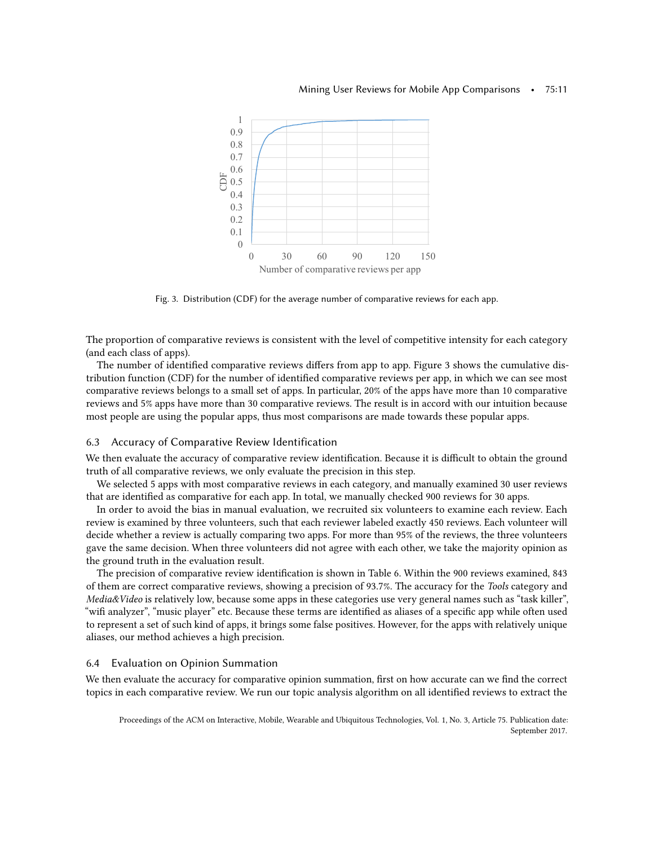<span id="page-10-0"></span>

Fig. 3. Distribution (CDF) for the average number of comparative reviews for each app.

The proportion of comparative reviews is consistent with the level of competitive intensity for each category (and each class of apps).

The number of identified comparative reviews differs from app to app. Figure [3](#page-10-0) shows the cumulative distribution function (CDF) for the number of identified comparative reviews per app, in which we can see most comparative reviews belongs to a small set of apps. In particular, 20% of the apps have more than 10 comparative reviews and 5% apps have more than 30 comparative reviews. The result is in accord with our intuition because most people are using the popular apps, thus most comparisons are made towards these popular apps.

#### 6.3 Accuracy of Comparative Review Identification

We then evaluate the accuracy of comparative review identification. Because it is difficult to obtain the ground truth of all comparative reviews, we only evaluate the precision in this step.

We selected 5 apps with most comparative reviews in each category, and manually examined 30 user reviews that are identified as comparative for each app. In total, we manually checked 900 reviews for 30 apps.

In order to avoid the bias in manual evaluation, we recruited six volunteers to examine each review. Each review is examined by three volunteers, such that each reviewer labeled exactly 450 reviews. Each volunteer will decide whether a review is actually comparing two apps. For more than 95% of the reviews, the three volunteers gave the same decision. When three volunteers did not agree with each other, we take the majority opinion as the ground truth in the evaluation result.

The precision of comparative review identification is shown in Table [6.](#page-11-0) Within the 900 reviews examined, 843 of them are correct comparative reviews, showing a precision of 93.7%. The accuracy for the Tools category and Media&Video is relatively low, because some apps in these categories use very general names such as "task killer", "wifi analyzer", "music player" etc. Because these terms are identified as aliases of a specific app while often used to represent a set of such kind of apps, it brings some false positives. However, for the apps with relatively unique aliases, our method achieves a high precision.

## 6.4 Evaluation on Opinion Summation

We then evaluate the accuracy for comparative opinion summation, first on how accurate can we find the correct topics in each comparative review. We run our topic analysis algorithm on all identified reviews to extract the

Proceedings of the ACM on Interactive, Mobile, Wearable and Ubiquitous Technologies, Vol. 1, No. 3, Article 75. Publication date: September 2017.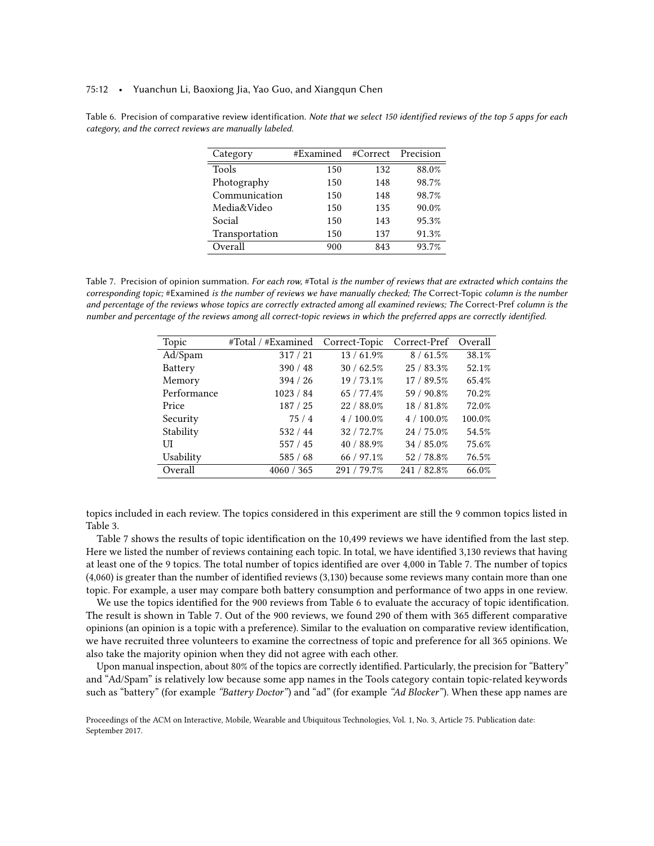#### 75:12 • Yuanchun Li, Baoxiong Jia, Yao Guo, and Xiangqun Chen

<span id="page-11-0"></span>

| Table 6. Precision of comparative review identification. Note that we select 150 identified reviews of the top 5 apps for each |  |  |  |
|--------------------------------------------------------------------------------------------------------------------------------|--|--|--|
| category, and the correct reviews are manually labeled.                                                                        |  |  |  |

| Category       | #Examined | #Correct | Precision |
|----------------|-----------|----------|-----------|
| Tools          | 150       | 132      | 88.0%     |
| Photography    | 150       | 148      | 98.7%     |
| Communication  | 150       | 148      | 98.7%     |
| Media&Video    | 150       | 135      | 90.0%     |
| Social         | 150       | 143      | 95.3%     |
| Transportation | 150       | 137      | 91.3%     |
| Overall        | 900       | 843      | 93.7%     |

<span id="page-11-1"></span>Table 7. Precision of opinion summation. For each row, #Total is the number of reviews that are extracted which contains the corresponding topic; #Examined is the number of reviews we have manually checked; The Correct-Topic column is the number and percentage of the reviews whose topics are correctly extracted among all examined reviews; The Correct-Pref column is the number and percentage of the reviews among all correct-topic reviews in which the preferred apps are correctly identified.

| Topic       | #Total / #Examined Correct-Topic |             | Correct-Pref | Overall |
|-------------|----------------------------------|-------------|--------------|---------|
| Ad/Spam     | 317/21                           | 13 / 61.9%  | 8/61.5%      | 38.1%   |
| Battery     | 390/48                           | 30/62.5%    | 25 / 83.3%   | 52.1%   |
| Memory      | 394 / 26                         | 19 / 73.1%  | 17 / 89.5%   | 65.4%   |
| Performance | 1023 / 84                        | 65 / 77.4%  | 59 / 90.8%   | 70.2%   |
| Price       | 187/25                           | 22 / 88.0%  | 18 / 81.8%   | 72.0%   |
| Security    | 75/4                             | $4/100.0\%$ | $4/100.0\%$  | 100.0%  |
| Stability   | 532/44                           | 32 / 72.7%  | 24 / 75.0%   | 54.5%   |
| UI          | 557/45                           | 40 / 88.9%  | 34 / 85.0%   | 75.6%   |
| Usability   | 585/68                           | 66 / 97.1%  | 52 / 78.8%   | 76.5%   |
| Overall     | 4060 / 365                       | 291 / 79.7% | 241 / 82.8%  | 66.0%   |

topics included in each review. The topics considered in this experiment are still the 9 common topics listed in Table [3.](#page-7-0)

Table [7](#page-11-1) shows the results of topic identification on the 10,499 reviews we have identified from the last step. Here we listed the number of reviews containing each topic. In total, we have identified 3,130 reviews that having at least one of the 9 topics. The total number of topics identified are over 4,000 in Table [7.](#page-11-1) The number of topics (4,060) is greater than the number of identified reviews (3,130) because some reviews many contain more than one topic. For example, a user may compare both battery consumption and performance of two apps in one review.

We use the topics identified for the 900 reviews from Table [6](#page-11-0) to evaluate the accuracy of topic identification. The result is shown in Table [7.](#page-11-1) Out of the 900 reviews, we found 290 of them with 365 different comparative opinions (an opinion is a topic with a preference). Similar to the evaluation on comparative review identification, we have recruited three volunteers to examine the correctness of topic and preference for all 365 opinions. We also take the majority opinion when they did not agree with each other.

Upon manual inspection, about 80% of the topics are correctly identified. Particularly, the precision for "Battery" and "Ad/Spam" is relatively low because some app names in the Tools category contain topic-related keywords such as "battery" (for example "Battery Doctor") and "ad" (for example "Ad Blocker"). When these app names are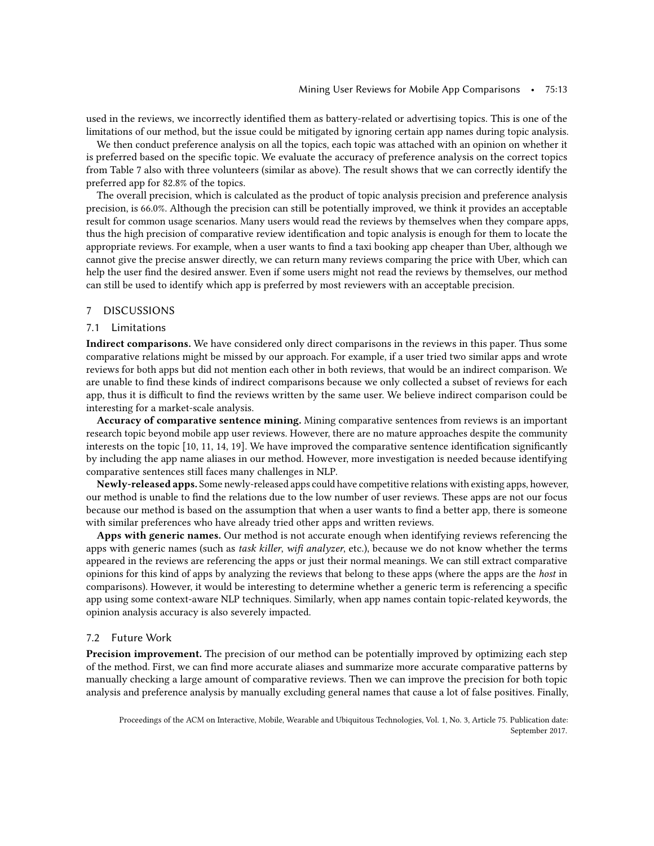used in the reviews, we incorrectly identified them as battery-related or advertising topics. This is one of the limitations of our method, but the issue could be mitigated by ignoring certain app names during topic analysis.

We then conduct preference analysis on all the topics, each topic was attached with an opinion on whether it is preferred based on the specific topic. We evaluate the accuracy of preference analysis on the correct topics from Table [7](#page-11-1) also with three volunteers (similar as above). The result shows that we can correctly identify the preferred app for 82.8% of the topics.

The overall precision, which is calculated as the product of topic analysis precision and preference analysis precision, is 66.0%. Although the precision can still be potentially improved, we think it provides an acceptable result for common usage scenarios. Many users would read the reviews by themselves when they compare apps, thus the high precision of comparative review identification and topic analysis is enough for them to locate the appropriate reviews. For example, when a user wants to find a taxi booking app cheaper than Uber, although we cannot give the precise answer directly, we can return many reviews comparing the price with Uber, which can help the user find the desired answer. Even if some users might not read the reviews by themselves, our method can still be used to identify which app is preferred by most reviewers with an acceptable precision.

### 7 DISCUSSIONS

### 7.1 Limitations

Indirect comparisons. We have considered only direct comparisons in the reviews in this paper. Thus some comparative relations might be missed by our approach. For example, if a user tried two similar apps and wrote reviews for both apps but did not mention each other in both reviews, that would be an indirect comparison. We are unable to find these kinds of indirect comparisons because we only collected a subset of reviews for each app, thus it is difficult to find the reviews written by the same user. We believe indirect comparison could be interesting for a market-scale analysis.

Accuracy of comparative sentence mining. Mining comparative sentences from reviews is an important research topic beyond mobile app user reviews. However, there are no mature approaches despite the community interests on the topic [\[10,](#page-14-14) [11,](#page-14-11) [14,](#page-14-13) [19\]](#page-14-20). We have improved the comparative sentence identification significantly by including the app name aliases in our method. However, more investigation is needed because identifying comparative sentences still faces many challenges in NLP.

Newly-released apps. Some newly-released apps could have competitive relations with existing apps, however, our method is unable to find the relations due to the low number of user reviews. These apps are not our focus because our method is based on the assumption that when a user wants to find a better app, there is someone with similar preferences who have already tried other apps and written reviews.

Apps with generic names. Our method is not accurate enough when identifying reviews referencing the apps with generic names (such as task killer, wifi analyzer, etc.), because we do not know whether the terms appeared in the reviews are referencing the apps or just their normal meanings. We can still extract comparative opinions for this kind of apps by analyzing the reviews that belong to these apps (where the apps are the host in comparisons). However, it would be interesting to determine whether a generic term is referencing a specific app using some context-aware NLP techniques. Similarly, when app names contain topic-related keywords, the opinion analysis accuracy is also severely impacted.

#### 7.2 Future Work

Precision improvement. The precision of our method can be potentially improved by optimizing each step of the method. First, we can find more accurate aliases and summarize more accurate comparative patterns by manually checking a large amount of comparative reviews. Then we can improve the precision for both topic analysis and preference analysis by manually excluding general names that cause a lot of false positives. Finally,

Proceedings of the ACM on Interactive, Mobile, Wearable and Ubiquitous Technologies, Vol. 1, No. 3, Article 75. Publication date: September 2017.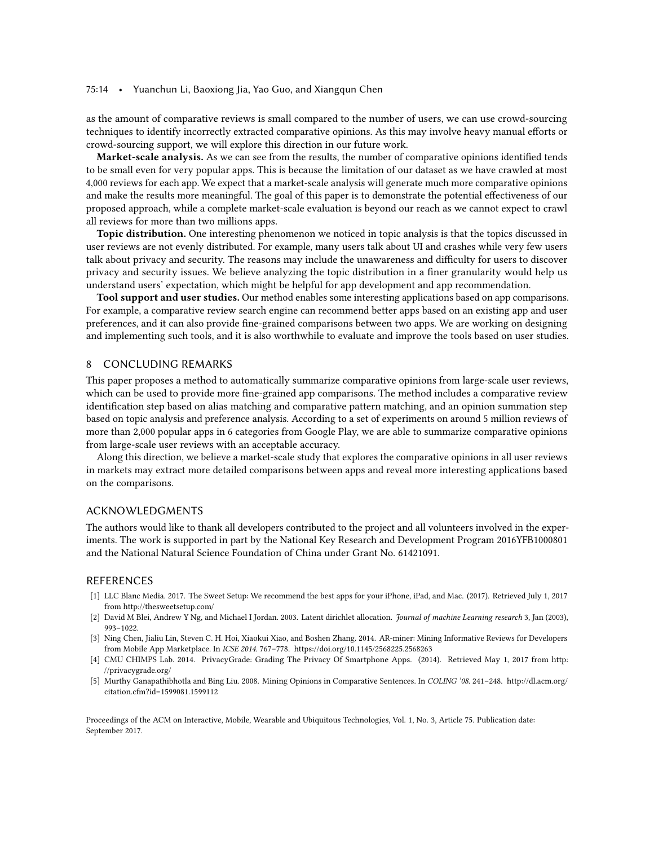#### 75:14 • Yuanchun Li, Baoxiong Jia, Yao Guo, and Xiangqun Chen

as the amount of comparative reviews is small compared to the number of users, we can use crowd-sourcing techniques to identify incorrectly extracted comparative opinions. As this may involve heavy manual efforts or crowd-sourcing support, we will explore this direction in our future work.

Market-scale analysis. As we can see from the results, the number of comparative opinions identified tends to be small even for very popular apps. This is because the limitation of our dataset as we have crawled at most 4,000 reviews for each app. We expect that a market-scale analysis will generate much more comparative opinions and make the results more meaningful. The goal of this paper is to demonstrate the potential effectiveness of our proposed approach, while a complete market-scale evaluation is beyond our reach as we cannot expect to crawl all reviews for more than two millions apps.

Topic distribution. One interesting phenomenon we noticed in topic analysis is that the topics discussed in user reviews are not evenly distributed. For example, many users talk about UI and crashes while very few users talk about privacy and security. The reasons may include the unawareness and difficulty for users to discover privacy and security issues. We believe analyzing the topic distribution in a finer granularity would help us understand users' expectation, which might be helpful for app development and app recommendation.

Tool support and user studies. Our method enables some interesting applications based on app comparisons. For example, a comparative review search engine can recommend better apps based on an existing app and user preferences, and it can also provide fine-grained comparisons between two apps. We are working on designing and implementing such tools, and it is also worthwhile to evaluate and improve the tools based on user studies.

# 8 CONCLUDING REMARKS

This paper proposes a method to automatically summarize comparative opinions from large-scale user reviews, which can be used to provide more fine-grained app comparisons. The method includes a comparative review identification step based on alias matching and comparative pattern matching, and an opinion summation step based on topic analysis and preference analysis. According to a set of experiments on around 5 million reviews of more than 2,000 popular apps in 6 categories from Google Play, we are able to summarize comparative opinions from large-scale user reviews with an acceptable accuracy.

Along this direction, we believe a market-scale study that explores the comparative opinions in all user reviews in markets may extract more detailed comparisons between apps and reveal more interesting applications based on the comparisons.

### ACKNOWLEDGMENTS

The authors would like to thank all developers contributed to the project and all volunteers involved in the experiments. The work is supported in part by the National Key Research and Development Program 2016YFB1000801 and the National Natural Science Foundation of China under Grant No. 61421091.

### REFERENCES

- <span id="page-13-1"></span>[1] LLC Blanc Media. 2017. The Sweet Setup: We recommend the best apps for your iPhone, iPad, and Mac. (2017). Retrieved July 1, 2017 from<http://thesweetsetup.com/>
- <span id="page-13-4"></span>[2] David M Blei, Andrew Y Ng, and Michael I Jordan. 2003. Latent dirichlet allocation. Journal of machine Learning research 3, Jan (2003), 993–1022.
- <span id="page-13-2"></span>[3] Ning Chen, Jialiu Lin, Steven C. H. Hoi, Xiaokui Xiao, and Boshen Zhang. 2014. AR-miner: Mining Informative Reviews for Developers from Mobile App Marketplace. In ICSE 2014. 767–778.<https://doi.org/10.1145/2568225.2568263>
- <span id="page-13-0"></span>[4] CMU CHIMPS Lab. 2014. PrivacyGrade: Grading The Privacy Of Smartphone Apps. (2014). Retrieved May 1, 2017 from [http:](http://privacygrade.org/) [//privacygrade.org/](http://privacygrade.org/)
- <span id="page-13-3"></span>[5] Murthy Ganapathibhotla and Bing Liu. 2008. Mining Opinions in Comparative Sentences. In COLING '08. 241–248. [http://dl.acm.org/](http://dl.acm.org/citation.cfm?id=1599081.1599112) [citation.cfm?id=1599081.1599112](http://dl.acm.org/citation.cfm?id=1599081.1599112)